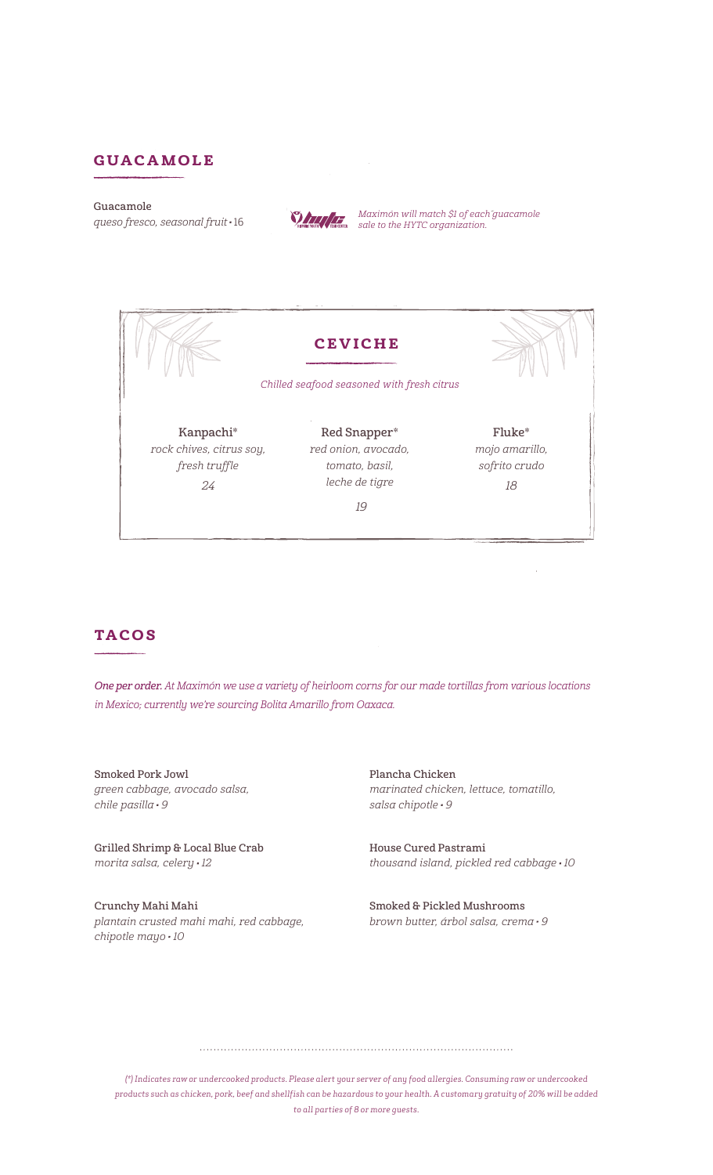### guacamole

#### Guacamole



and the state of the state of the Hytch state of the Hytch organization.<br>queso fresco, seasonal fruit  $\cdot$  16



## **TACOS**

One per order. At Maximón we use a variety of heirloom corns for our made tortillas from various locations in Mexico; currently we're sourcing Bolita Amarillo from Oaxaca.

Smoked Pork Jowl green cabbage, avocado salsa,  $chile$  pasilla  $\cdot$  9

Grilled Shrimp & Local Blue Crab morita salsa, celery 12

Crunchy Mahi Mahi plantain crusted mahi mahi, red cabbage, chipotle mayo 10

Plancha Chicken marinated chicken, lettuce, tomatillo, salsa chipotle · 9

House Cured Pastrami thousand island, pickled red cabbage · 10

Smoked & Pickled Mushrooms brown butter, árbol salsa, crema · 9

*(\*) Indicates raw or undercooked products. Please alert your server of any food allergies. Consuming raw or undercooked products such as chicken, pork, beef and shellfish can be hazardous to your health. A customary gratuity of 20% will be added to all parties of 8 or more guests.*